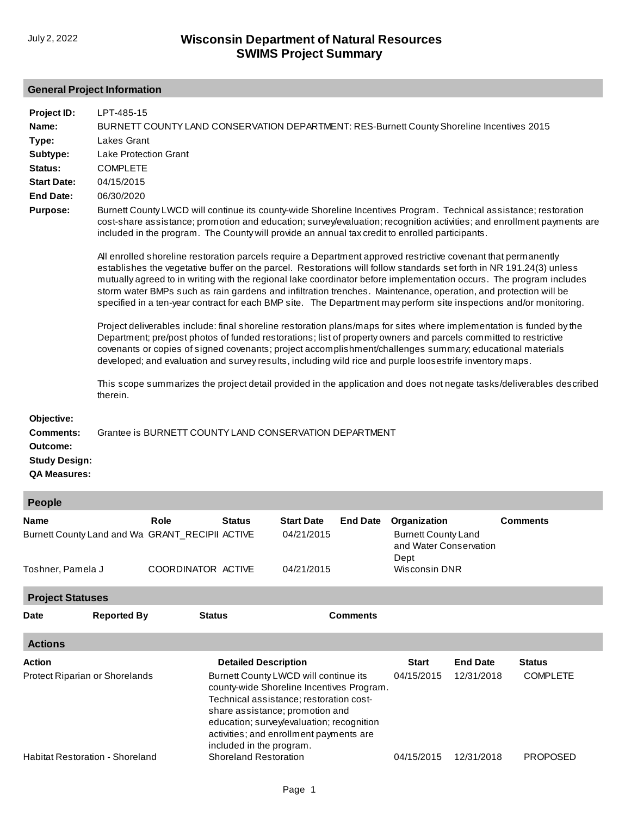#### **General Project Information**

| Project ID:                                                                               | LPT-485-15                                                                                                                                                                                                                                                                                                                                                                                                                                                                                                                                                                                             |  |
|-------------------------------------------------------------------------------------------|--------------------------------------------------------------------------------------------------------------------------------------------------------------------------------------------------------------------------------------------------------------------------------------------------------------------------------------------------------------------------------------------------------------------------------------------------------------------------------------------------------------------------------------------------------------------------------------------------------|--|
| Name:<br>Type:                                                                            | BURNETT COUNTY LAND CONSERVATION DEPARTMENT: RES-Burnett County Shoreline Incentives 2015<br>Lakes Grant                                                                                                                                                                                                                                                                                                                                                                                                                                                                                               |  |
| Subtype:                                                                                  | <b>Lake Protection Grant</b>                                                                                                                                                                                                                                                                                                                                                                                                                                                                                                                                                                           |  |
| Status:                                                                                   | <b>COMPLETE</b>                                                                                                                                                                                                                                                                                                                                                                                                                                                                                                                                                                                        |  |
| <b>Start Date:</b>                                                                        | 04/15/2015                                                                                                                                                                                                                                                                                                                                                                                                                                                                                                                                                                                             |  |
| <b>End Date:</b>                                                                          | 06/30/2020                                                                                                                                                                                                                                                                                                                                                                                                                                                                                                                                                                                             |  |
| <b>Purpose:</b>                                                                           | Burnett County LWCD will continue its county-wide Shoreline Incentives Program. Technical assistance; restoration<br>cost-share assistance; promotion and education; survey/evaluation; recognition activities; and enrollment payments are<br>included in the program. The County will provide an annual tax credit to enrolled participants.                                                                                                                                                                                                                                                         |  |
|                                                                                           | All enrolled shoreline restoration parcels require a Department approved restrictive covenant that permanently<br>establishes the vegetative buffer on the parcel. Restorations will follow standards set forth in NR 191.24(3) unless<br>mutually agreed to in writing with the regional lake coordinator before implementation occurs. The program includes<br>storm water BMPs such as rain gardens and infiltration trenches. Maintenance, operation, and protection will be<br>specified in a ten-year contract for each BMP site. The Department may perform site inspections and/or monitoring. |  |
|                                                                                           | Project deliverables include: final shoreline restoration plans/maps for sites where implementation is funded by the<br>Department; pre/post photos of funded restorations; list of property owners and parcels committed to restrictive<br>covenants or copies of signed covenants; project accomplishment/challenges summary; educational materials<br>developed; and evaluation and survey results, including wild rice and purple loosestrife inventory maps.                                                                                                                                      |  |
|                                                                                           | This scope summarizes the project detail provided in the application and does not negate tasks/deliverables described<br>therein.                                                                                                                                                                                                                                                                                                                                                                                                                                                                      |  |
| Objective:<br><b>Comments:</b><br>Outcome:<br><b>Study Design:</b><br><b>QA Measures:</b> | Grantee is BURNETT COUNTY LAND CONSERVATION DEPARTMENT                                                                                                                                                                                                                                                                                                                                                                                                                                                                                                                                                 |  |
| <b>People</b>                                                                             |                                                                                                                                                                                                                                                                                                                                                                                                                                                                                                                                                                                                        |  |
| Name                                                                                      | <b>Role</b><br><b>Start Date</b><br>Organization<br><b>Comments</b><br><b>Status</b><br><b>End Date</b><br>Burnett County Land and Wa GRANT_RECIPII ACTIVE<br>04/21/2015<br><b>Burnett County Land</b><br>and Water Conservation                                                                                                                                                                                                                                                                                                                                                                       |  |

[Toshner, Pamela J](http://prodoasint.dnr.wi.gov/swims/viewIP.html?id=10097495) COORDINATOR ACTIVE **Project Statuses**

| <b>Date</b>    | <b>Reported By</b>                     | <b>Status</b>                                                                                                                                                                                                                                                                        | <b>Comments</b> |                 |                 |
|----------------|----------------------------------------|--------------------------------------------------------------------------------------------------------------------------------------------------------------------------------------------------------------------------------------------------------------------------------------|-----------------|-----------------|-----------------|
| <b>Actions</b> |                                        |                                                                                                                                                                                                                                                                                      |                 |                 |                 |
| Action         |                                        | <b>Detailed Description</b>                                                                                                                                                                                                                                                          | <b>Start</b>    | <b>End Date</b> | <b>Status</b>   |
|                | Protect Riparian or Shorelands         | Burnett County LWCD will continue its<br>county-wide Shoreline Incentives Program.<br>Technical assistance; restoration cost-<br>share assistance; promotion and<br>education; survey/evaluation; recognition<br>activities; and enrollment payments are<br>included in the program. | 04/15/2015      | 12/31/2018      | <b>COMPLETE</b> |
|                | <b>Habitat Restoration - Shoreland</b> | <b>Shoreland Restoration</b>                                                                                                                                                                                                                                                         | 04/15/2015      | 12/31/2018      | <b>PROPOSED</b> |

04/21/2015

Dept

Wisconsin DNR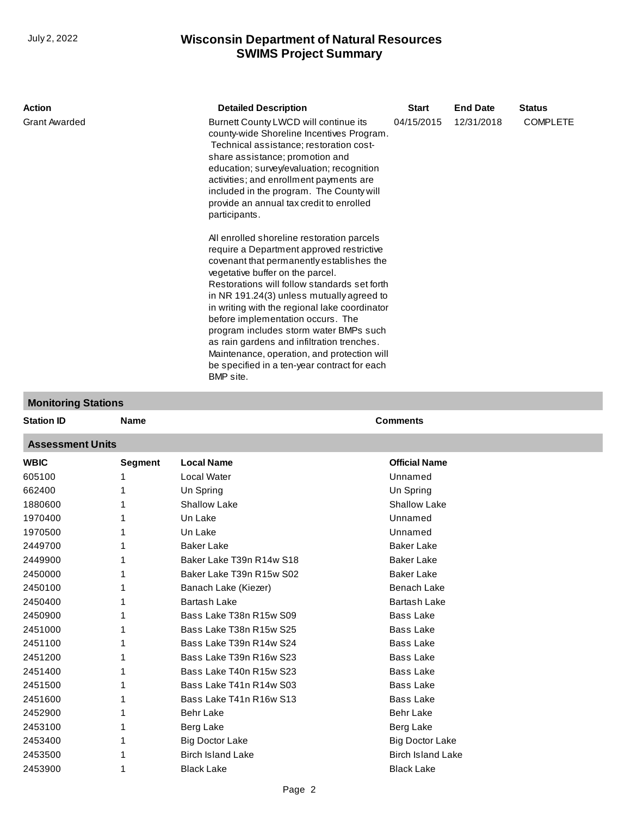| <b>Action</b>        | <b>Detailed Description</b>                                                                                                                                                                                                                                                                                                                                                                                                                                                                                                                                     | <b>Start</b> | <b>End Date</b> | <b>Status</b>   |
|----------------------|-----------------------------------------------------------------------------------------------------------------------------------------------------------------------------------------------------------------------------------------------------------------------------------------------------------------------------------------------------------------------------------------------------------------------------------------------------------------------------------------------------------------------------------------------------------------|--------------|-----------------|-----------------|
| <b>Grant Awarded</b> | Burnett County LWCD will continue its<br>county-wide Shoreline Incentives Program.<br>Technical assistance; restoration cost-<br>share assistance; promotion and<br>education; survey/evaluation; recognition<br>activities; and enrollment payments are<br>included in the program. The County will<br>provide an annual tax credit to enrolled<br>participants.                                                                                                                                                                                               | 04/15/2015   | 12/31/2018      | <b>COMPLETE</b> |
|                      | All enrolled shoreline restoration parcels<br>require a Department approved restrictive<br>covenant that permanently establishes the<br>vegetative buffer on the parcel.<br>Restorations will follow standards set forth<br>in NR 191.24(3) unless mutually agreed to<br>in writing with the regional lake coordinator<br>before implementation occurs. The<br>program includes storm water BMPs such<br>as rain gardens and infiltration trenches.<br>Maintenance, operation, and protection will<br>be specified in a ten-year contract for each<br>BMP site. |              |                 |                 |

### **Monitoring Stations**

| <b>Station ID</b>       | <b>Name</b>    |                          | <b>Comments</b>          |  |  |  |  |  |
|-------------------------|----------------|--------------------------|--------------------------|--|--|--|--|--|
| <b>Assessment Units</b> |                |                          |                          |  |  |  |  |  |
| <b>WBIC</b>             | <b>Segment</b> | <b>Local Name</b>        | <b>Official Name</b>     |  |  |  |  |  |
| 605100                  |                | Local Water              | Unnamed                  |  |  |  |  |  |
| 662400                  | 1              | Un Spring                | Un Spring                |  |  |  |  |  |
| 1880600                 |                | <b>Shallow Lake</b>      | <b>Shallow Lake</b>      |  |  |  |  |  |
| 1970400                 |                | Un Lake                  | Unnamed                  |  |  |  |  |  |
| 1970500                 |                | Un Lake                  | Unnamed                  |  |  |  |  |  |
| 2449700                 | 1              | <b>Baker Lake</b>        | <b>Baker Lake</b>        |  |  |  |  |  |
| 2449900                 |                | Baker Lake T39n R14w S18 | <b>Baker Lake</b>        |  |  |  |  |  |
| 2450000                 | 1              | Baker Lake T39n R15w S02 | <b>Baker Lake</b>        |  |  |  |  |  |
| 2450100                 | 1              | Banach Lake (Kiezer)     | <b>Benach Lake</b>       |  |  |  |  |  |
| 2450400                 | 1              | <b>Bartash Lake</b>      | <b>Bartash Lake</b>      |  |  |  |  |  |
| 2450900                 | 1              | Bass Lake T38n R15w S09  | <b>Bass Lake</b>         |  |  |  |  |  |
| 2451000                 | 1              | Bass Lake T38n R15w S25  | <b>Bass Lake</b>         |  |  |  |  |  |
| 2451100                 | 1              | Bass Lake T39n R14w S24  | <b>Bass Lake</b>         |  |  |  |  |  |
| 2451200                 |                | Bass Lake T39n R16w S23  | <b>Bass Lake</b>         |  |  |  |  |  |
| 2451400                 | 1              | Bass Lake T40n R15w S23  | <b>Bass Lake</b>         |  |  |  |  |  |
| 2451500                 | 1              | Bass Lake T41n R14w S03  | <b>Bass Lake</b>         |  |  |  |  |  |
| 2451600                 | 1              | Bass Lake T41n R16w S13  | <b>Bass Lake</b>         |  |  |  |  |  |
| 2452900                 | 1              | <b>Behr Lake</b>         | <b>Behr Lake</b>         |  |  |  |  |  |
| 2453100                 | 1              | Berg Lake                | Berg Lake                |  |  |  |  |  |
| 2453400                 | 1              | <b>Big Doctor Lake</b>   | <b>Big Doctor Lake</b>   |  |  |  |  |  |
| 2453500                 | 1              | <b>Birch Island Lake</b> | <b>Birch Island Lake</b> |  |  |  |  |  |
| 2453900                 | 1              | <b>Black Lake</b>        | <b>Black Lake</b>        |  |  |  |  |  |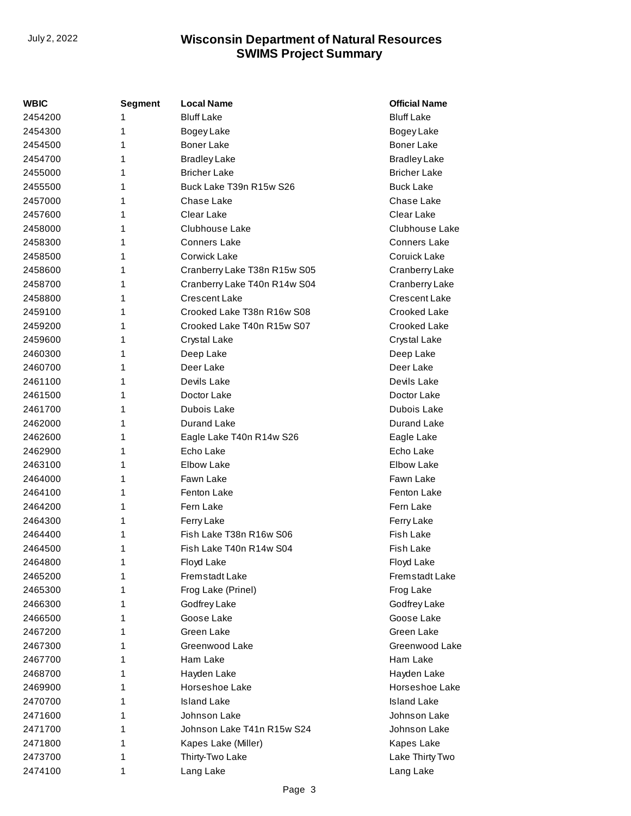| WBIC    | <b>Segment</b> | <b>Local Name</b>            | <b>Official Name</b> |
|---------|----------------|------------------------------|----------------------|
| 2454200 | 1              | <b>Bluff Lake</b>            | <b>Bluff Lake</b>    |
| 2454300 | 1              | Bogey Lake                   | Bogey Lake           |
| 2454500 | 1              | <b>Boner Lake</b>            | <b>Boner Lake</b>    |
| 2454700 | 1              | <b>Bradley Lake</b>          | <b>Bradley Lake</b>  |
| 2455000 | 1              | <b>Bricher Lake</b>          | <b>Bricher Lake</b>  |
| 2455500 | 1              | Buck Lake T39n R15w S26      | <b>Buck Lake</b>     |
| 2457000 | 1              | Chase Lake                   | Chase Lake           |
| 2457600 | 1              | Clear Lake                   | Clear Lake           |
| 2458000 | 1              | Clubhouse Lake               | Clubhouse Lake       |
| 2458300 | 1              | <b>Conners Lake</b>          | <b>Conners Lake</b>  |
| 2458500 | 1              | Corwick Lake                 | Coruick Lake         |
| 2458600 | 1              | Cranberry Lake T38n R15w S05 | Cranberry Lake       |
| 2458700 | 1              | Cranberry Lake T40n R14w S04 | Cranberry Lake       |
| 2458800 | 1              | <b>Crescent Lake</b>         | Crescent Lake        |
| 2459100 | 1              | Crooked Lake T38n R16w S08   | Crooked Lake         |
| 2459200 | 1              | Crooked Lake T40n R15w S07   | Crooked Lake         |
| 2459600 | 1              | Crystal Lake                 | Crystal Lake         |
| 2460300 | 1              | Deep Lake                    | Deep Lake            |
| 2460700 | 1              | Deer Lake                    | Deer Lake            |
| 2461100 | 1              | Devils Lake                  | Devils Lake          |
| 2461500 | 1              | Doctor Lake                  | Doctor Lake          |
| 2461700 | 1              | Dubois Lake                  | Dubois Lake          |
| 2462000 | 1              | <b>Durand Lake</b>           | Durand Lake          |
| 2462600 | 1              | Eagle Lake T40n R14w S26     | Eagle Lake           |
| 2462900 | 1              | Echo Lake                    | Echo Lake            |
| 2463100 | 1              | <b>Elbow Lake</b>            | <b>Elbow Lake</b>    |
| 2464000 | 1              | Fawn Lake                    | Fawn Lake            |
| 2464100 | 1              | Fenton Lake                  | Fenton Lake          |
| 2464200 | 1              | Fern Lake                    | Fern Lake            |
| 2464300 | 1              | Ferry Lake                   | Ferry Lake           |
| 2464400 | 1              | Fish Lake T38n R16w S06      | Fish Lake            |
| 2464500 | 1              | Fish Lake T40n R14w S04      | Fish Lake            |
| 2464800 | 1              | Floyd Lake                   | Floyd Lake           |
| 2465200 | 1              | Fremstadt Lake               | Fremstadt Lake       |
| 2465300 | 1              | Frog Lake (Prinel)           | Frog Lake            |
| 2466300 | 1              | Godfrey Lake                 | Godfrey Lake         |
| 2466500 | 1              | Goose Lake                   | Goose Lake           |
| 2467200 | 1              | Green Lake                   | Green Lake           |
| 2467300 | 1              | Greenwood Lake               | Greenwood Lake       |
| 2467700 | 1              | Ham Lake                     | Ham Lake             |
| 2468700 | 1              | Hayden Lake                  | Hayden Lake          |
| 2469900 | 1              | Horseshoe Lake               | Horseshoe Lake       |
| 2470700 | 1              | <b>Island Lake</b>           | <b>Island Lake</b>   |
| 2471600 | 1              | Johnson Lake                 | Johnson Lake         |
| 2471700 | 1              | Johnson Lake T41n R15w S24   | Johnson Lake         |
| 2471800 | 1              | Kapes Lake (Miller)          | Kapes Lake           |
| 2473700 | 1              | Thirty-Two Lake              | Lake Thirty Two      |
| 2474100 | 1              | Lang Lake                    | Lang Lake            |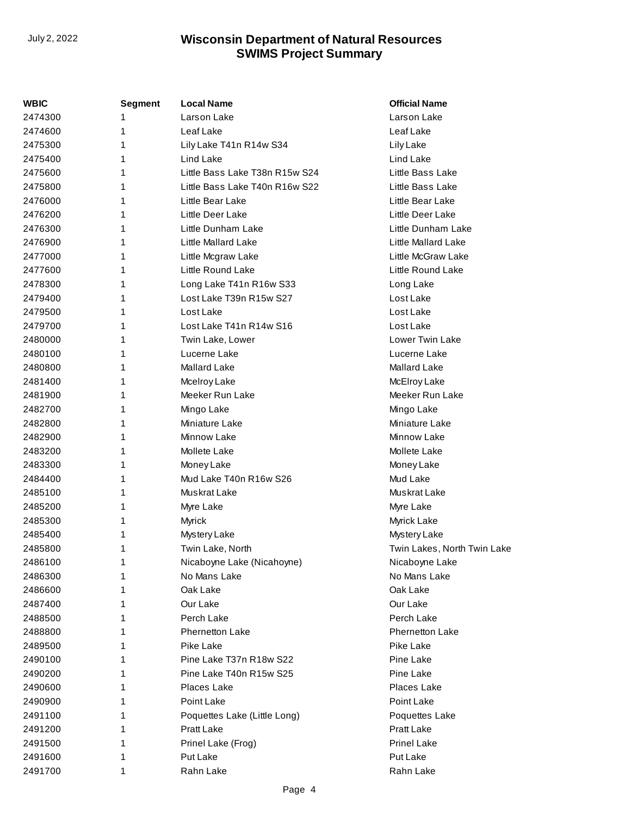| WBIC    | Segment | <b>Local Name</b>              | <b>Official Name</b>        |
|---------|---------|--------------------------------|-----------------------------|
| 2474300 | 1       | Larson Lake                    | Larson Lake                 |
| 2474600 | 1       | Leaf Lake                      | Leaf Lake                   |
| 2475300 | 1       | Lily Lake T41n R14w S34        | Lily Lake                   |
| 2475400 | 1       | Lind Lake                      | Lind Lake                   |
| 2475600 | 1       | Little Bass Lake T38n R15w S24 | Little Bass Lake            |
| 2475800 | 1       | Little Bass Lake T40n R16w S22 | Little Bass Lake            |
| 2476000 | 1       | Little Bear Lake               | Little Bear Lake            |
| 2476200 | 1       | Little Deer Lake               | Little Deer Lake            |
| 2476300 | 1       | Little Dunham Lake             | Little Dunham Lake          |
| 2476900 | 1       | Little Mallard Lake            | Little Mallard Lake         |
| 2477000 | 1       | Little Mcgraw Lake             | Little McGraw Lake          |
| 2477600 | 1       | Little Round Lake              | Little Round Lake           |
| 2478300 | 1       | Long Lake T41n R16w S33        | Long Lake                   |
| 2479400 | 1       | Lost Lake T39n R15w S27        | Lost Lake                   |
| 2479500 | 1       | Lost Lake                      | Lost Lake                   |
| 2479700 | 1       | Lost Lake T41n R14w S16        | Lost Lake                   |
| 2480000 | 1       | Twin Lake, Lower               | <b>Lower Twin Lake</b>      |
| 2480100 | 1       | Lucerne Lake                   | Lucerne Lake                |
| 2480800 | 1       | Mallard Lake                   | Mallard Lake                |
| 2481400 | 1       | Mcelroy Lake                   | McElroy Lake                |
| 2481900 | 1       | Meeker Run Lake                | Meeker Run Lake             |
| 2482700 | 1       | Mingo Lake                     | Mingo Lake                  |
| 2482800 | 1       | Miniature Lake                 | Miniature Lake              |
| 2482900 | 1       | Minnow Lake                    | Minnow Lake                 |
| 2483200 | 1       | Mollete Lake                   | Mollete Lake                |
| 2483300 | 1       | Money Lake                     | Money Lake                  |
| 2484400 | 1       | Mud Lake T40n R16w S26         | Mud Lake                    |
| 2485100 | 1       | Muskrat Lake                   | Muskrat Lake                |
| 2485200 | 1       | Myre Lake                      | Myre Lake                   |
| 2485300 | 1       | Myrick                         | Myrick Lake                 |
| 2485400 | 1       | Mystery Lake                   | Mystery Lake                |
| 2485800 | 1       | Twin Lake, North               | Twin Lakes, North Twin Lake |
| 2486100 | 1       | Nicaboyne Lake (Nicahoyne)     | Nicaboyne Lake              |
| 2486300 | 1       | No Mans Lake                   | No Mans Lake                |
| 2486600 | 1       | Oak Lake                       | Oak Lake                    |
| 2487400 | 1       | Our Lake                       | Our Lake                    |
| 2488500 | 1       | Perch Lake                     | Perch Lake                  |
| 2488800 | 1       | <b>Phernetton Lake</b>         | <b>Phernetton Lake</b>      |
| 2489500 | 1       | Pike Lake                      | Pike Lake                   |
| 2490100 | 1       | Pine Lake T37n R18w S22        | Pine Lake                   |
| 2490200 | 1       | Pine Lake T40n R15w S25        | Pine Lake                   |
| 2490600 | 1       | Places Lake                    | Places Lake                 |
| 2490900 | 1       | Point Lake                     | Point Lake                  |
| 2491100 | 1       | Poquettes Lake (Little Long)   | Poquettes Lake              |
| 2491200 | 1       | Pratt Lake                     | Pratt Lake                  |
| 2491500 | 1       | Prinel Lake (Frog)             | <b>Prinel Lake</b>          |
| 2491600 | 1       | Put Lake                       | Put Lake                    |
| 2491700 | 1       | Rahn Lake                      | Rahn Lake                   |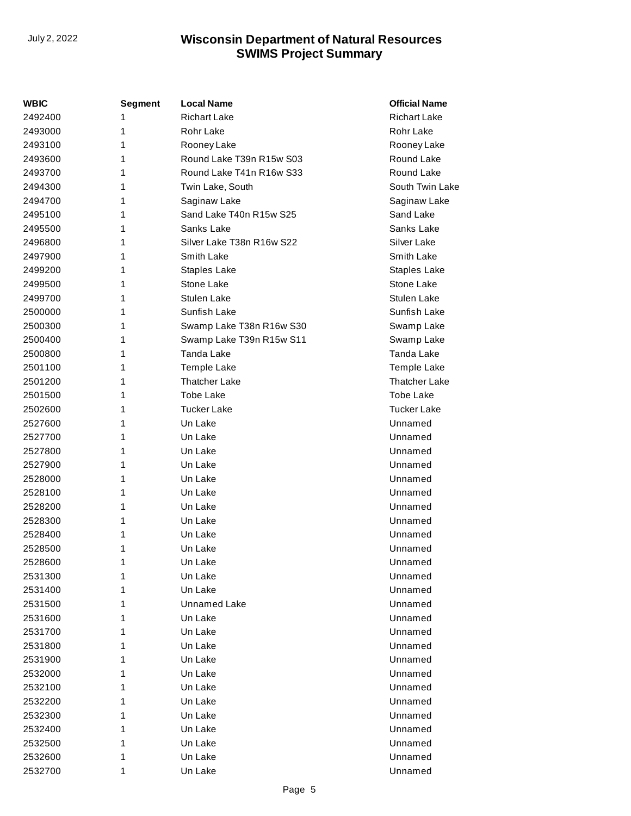| <b>WBIC</b> | <b>Segment</b> | <b>Local Name</b>         | <b>Official Name</b> |
|-------------|----------------|---------------------------|----------------------|
| 2492400     | 1              | <b>Richart Lake</b>       | <b>Richart Lake</b>  |
| 2493000     | 1              | Rohr Lake                 | Rohr Lake            |
| 2493100     | 1              | Rooney Lake               | Rooney Lake          |
| 2493600     | 1              | Round Lake T39n R15w S03  | Round Lake           |
| 2493700     | 1              | Round Lake T41n R16w S33  | Round Lake           |
| 2494300     | 1              | Twin Lake, South          | South Twin Lake      |
| 2494700     | 1              | Saginaw Lake              | Saginaw Lake         |
| 2495100     | 1              | Sand Lake T40n R15w S25   | Sand Lake            |
| 2495500     | 1              | Sanks Lake                | Sanks Lake           |
| 2496800     | 1              | Silver Lake T38n R16w S22 | Silver Lake          |
| 2497900     | 1              | Smith Lake                | Smith Lake           |
| 2499200     | 1              | Staples Lake              | Staples Lake         |
| 2499500     | 1              | Stone Lake                | Stone Lake           |
| 2499700     | 1              | <b>Stulen Lake</b>        | <b>Stulen Lake</b>   |
| 2500000     | 1              | Sunfish Lake              | Sunfish Lake         |
| 2500300     | 1              | Swamp Lake T38n R16w S30  | Swamp Lake           |
| 2500400     | 1              | Swamp Lake T39n R15w S11  | Swamp Lake           |
| 2500800     | 1              | Tanda Lake                | Tanda Lake           |
| 2501100     | 1              | Temple Lake               | Temple Lake          |
| 2501200     | 1              | <b>Thatcher Lake</b>      | <b>Thatcher Lake</b> |
| 2501500     | 1              | Tobe Lake                 | Tobe Lake            |
| 2502600     | 1              | <b>Tucker Lake</b>        | <b>Tucker Lake</b>   |
| 2527600     | 1              | Un Lake                   | Unnamed              |
| 2527700     | 1              | Un Lake                   | Unnamed              |
| 2527800     | 1              | Un Lake                   | Unnamed              |
| 2527900     | 1              | Un Lake                   | Unnamed              |
| 2528000     | 1              | Un Lake                   | Unnamed              |
| 2528100     | 1              | Un Lake                   | Unnamed              |
| 2528200     | 1              | Un Lake                   | Unnamed              |
| 2528300     | 1              | Un Lake                   | Unnamed              |
| 2528400     | 1              | Un Lake                   | Unnamed              |
| 2528500     | 1              | Un Lake                   | Unnamed              |
| 2528600     | 1              | Un Lake                   | Unnamed              |
| 2531300     | 1              | Un Lake                   | Unnamed              |
| 2531400     | 1              | Un Lake                   | Unnamed              |
| 2531500     | 1              | Unnamed Lake              | Unnamed              |
| 2531600     | 1              | Un Lake                   | Unnamed              |
| 2531700     | 1              | Un Lake                   | Unnamed              |
| 2531800     | 1              | Un Lake                   | Unnamed              |
| 2531900     | 1              | Un Lake                   | Unnamed              |
| 2532000     | 1              | Un Lake                   | Unnamed              |
| 2532100     | 1              | Un Lake                   | Unnamed              |
| 2532200     | 1              | Un Lake                   | Unnamed              |
| 2532300     | 1              | Un Lake                   | Unnamed              |
| 2532400     | 1              | Un Lake                   | Unnamed              |
| 2532500     | 1              | Un Lake                   | Unnamed              |
| 2532600     | 1              | Un Lake                   | Unnamed              |
| 2532700     | 1              | Un Lake                   | Unnamed              |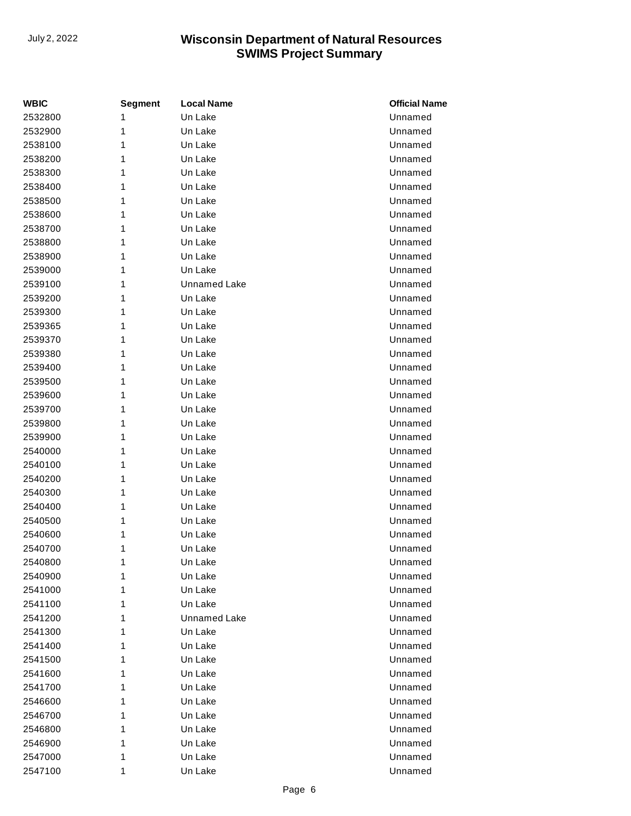| <b>WBIC</b> | Segment | <b>Local Name</b>   | <b>Official Name</b> |
|-------------|---------|---------------------|----------------------|
| 2532800     | 1       | Un Lake             | Unnamed              |
| 2532900     | 1       | Un Lake             | Unnamed              |
| 2538100     | 1       | Un Lake             | Unnamed              |
| 2538200     | 1       | Un Lake             | Unnamed              |
| 2538300     | 1       | Un Lake             | Unnamed              |
| 2538400     | 1       | Un Lake             | Unnamed              |
| 2538500     | 1       | Un Lake             | Unnamed              |
| 2538600     | 1       | Un Lake             | Unnamed              |
| 2538700     | 1       | Un Lake             | Unnamed              |
| 2538800     | 1       | Un Lake             | Unnamed              |
| 2538900     | 1       | Un Lake             | Unnamed              |
| 2539000     | 1       | Un Lake             | Unnamed              |
| 2539100     | 1       | <b>Unnamed Lake</b> | Unnamed              |
| 2539200     | 1       | Un Lake             | Unnamed              |
| 2539300     | 1       | Un Lake             | Unnamed              |
| 2539365     | 1       | Un Lake             | Unnamed              |
| 2539370     | 1       | Un Lake             | Unnamed              |
| 2539380     | 1       | Un Lake             | Unnamed              |
| 2539400     | 1       | Un Lake             | Unnamed              |
| 2539500     | 1       | Un Lake             | Unnamed              |
| 2539600     | 1       | Un Lake             | Unnamed              |
| 2539700     | 1       | Un Lake             | Unnamed              |
| 2539800     | 1       | Un Lake             | Unnamed              |
| 2539900     | 1       | Un Lake             | Unnamed              |
| 2540000     | 1       | Un Lake             | Unnamed              |
| 2540100     | 1       | Un Lake             | Unnamed              |
| 2540200     | 1       | Un Lake             | Unnamed              |
| 2540300     | 1       | Un Lake             | Unnamed              |
| 2540400     | 1       | Un Lake             | Unnamed              |
| 2540500     | 1       | Un Lake             | Unnamed              |
| 2540600     | 1       | Un Lake             | Unnamed              |
| 2540700     | 1       | Un Lake             | Unnamed              |
| 2540800     | 1       | Un Lake             | Unnamed              |
| 2540900     | 1       | Un Lake             | Unnamed              |
| 2541000     | 1       | Un Lake             | Unnamed              |
| 2541100     | 1       | Un Lake             | Unnamed              |
| 2541200     | 1       | <b>Unnamed Lake</b> | Unnamed              |
| 2541300     | 1       | Un Lake             | Unnamed              |
| 2541400     | 1       | Un Lake             | Unnamed              |
| 2541500     | 1       | Un Lake             | Unnamed              |
| 2541600     | 1       | Un Lake             | Unnamed              |
| 2541700     | 1       | Un Lake             | Unnamed              |
| 2546600     | 1       | Un Lake             | Unnamed              |
| 2546700     | 1       | Un Lake             | Unnamed              |
| 2546800     | 1       | Un Lake             | Unnamed              |
| 2546900     | 1       | Un Lake             | Unnamed              |
| 2547000     | 1       | Un Lake             | Unnamed              |
| 2547100     | 1       | Un Lake             | Unnamed              |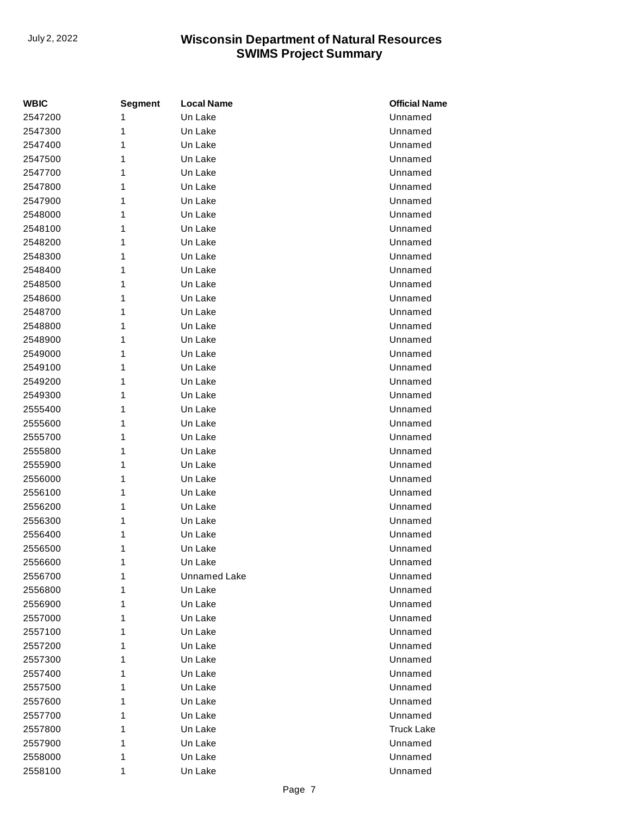| <b>WBIC</b> | Segment | Local Name          | <b>Official Name</b> |
|-------------|---------|---------------------|----------------------|
| 2547200     | 1       | Un Lake             | Unnamed              |
| 2547300     | 1       | Un Lake             | Unnamed              |
| 2547400     | 1       | Un Lake             | Unnamed              |
| 2547500     | 1       | Un Lake             | Unnamed              |
| 2547700     | 1       | Un Lake             | Unnamed              |
| 2547800     | 1       | Un Lake             | Unnamed              |
| 2547900     | 1       | Un Lake             | Unnamed              |
| 2548000     | 1       | Un Lake             | Unnamed              |
| 2548100     | 1       | Un Lake             | Unnamed              |
| 2548200     | 1       | Un Lake             | Unnamed              |
| 2548300     | 1       | Un Lake             | Unnamed              |
| 2548400     | 1       | Un Lake             | Unnamed              |
| 2548500     | 1       | Un Lake             | Unnamed              |
| 2548600     | 1       | Un Lake             | Unnamed              |
| 2548700     | 1       | Un Lake             | Unnamed              |
| 2548800     | 1       | Un Lake             | Unnamed              |
| 2548900     | 1       | Un Lake             | Unnamed              |
| 2549000     | 1       | Un Lake             | Unnamed              |
| 2549100     | 1       | Un Lake             | Unnamed              |
| 2549200     | 1       | Un Lake             | Unnamed              |
| 2549300     | 1       | Un Lake             | Unnamed              |
| 2555400     | 1       | Un Lake             | Unnamed              |
| 2555600     | 1       | Un Lake             | Unnamed              |
| 2555700     | 1       | Un Lake             | Unnamed              |
| 2555800     | 1       | Un Lake             | Unnamed              |
| 2555900     | 1       | Un Lake             | Unnamed              |
| 2556000     | 1       | Un Lake             | Unnamed              |
| 2556100     | 1       | Un Lake             | Unnamed              |
| 2556200     | 1       | Un Lake             | Unnamed              |
| 2556300     | 1       | Un Lake             | Unnamed              |
| 2556400     | 1       | Un Lake             | Unnamed              |
| 2556500     | 1       | Un Lake             | Unnamed              |
| 2556600     | 1       | Un Lake             | Unnamed              |
| 2556700     | 1       | <b>Unnamed Lake</b> | Unnamed              |
| 2556800     | 1       | Un Lake             | Unnamed              |
| 2556900     | 1       | Un Lake             | Unnamed              |
| 2557000     | 1       | Un Lake             | Unnamed              |
| 2557100     | 1       | Un Lake             | Unnamed              |
| 2557200     | 1       | Un Lake             | Unnamed              |
| 2557300     | 1       | Un Lake             | Unnamed              |
| 2557400     | 1       | Un Lake             | Unnamed              |
| 2557500     | 1       | Un Lake             | Unnamed              |
| 2557600     | 1       | Un Lake             | Unnamed              |
| 2557700     | 1       | Un Lake             | Unnamed              |
| 2557800     | 1       | Un Lake             | <b>Truck Lake</b>    |
| 2557900     | 1       | Un Lake             | Unnamed              |
| 2558000     | 1       | Un Lake             | Unnamed              |
| 2558100     | 1       | Un Lake             | Unnamed              |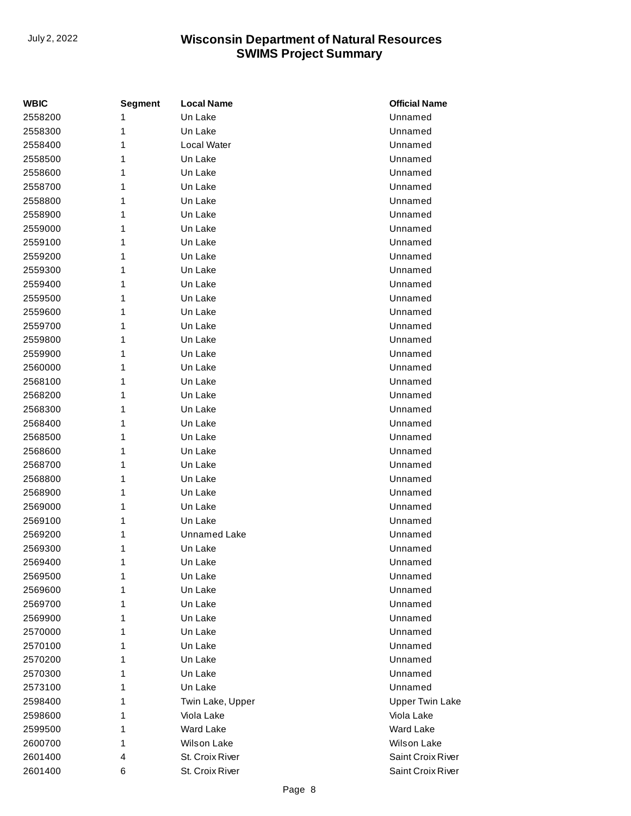| <b>WBIC</b> | <b>Segment</b> | <b>Local Name</b> | <b>Official Name</b>   |
|-------------|----------------|-------------------|------------------------|
| 2558200     | 1              | Un Lake           | Unnamed                |
| 2558300     | 1              | Un Lake           | Unnamed                |
| 2558400     | 1              | Local Water       | Unnamed                |
| 2558500     | 1              | Un Lake           | Unnamed                |
| 2558600     | 1              | Un Lake           | Unnamed                |
| 2558700     | 1              | Un Lake           | Unnamed                |
| 2558800     | 1              | Un Lake           | Unnamed                |
| 2558900     | 1              | Un Lake           | Unnamed                |
| 2559000     | 1              | Un Lake           | Unnamed                |
| 2559100     | 1              | Un Lake           | Unnamed                |
| 2559200     | 1              | Un Lake           | Unnamed                |
| 2559300     | 1              | Un Lake           | Unnamed                |
| 2559400     | 1              | Un Lake           | Unnamed                |
| 2559500     | 1              | Un Lake           | Unnamed                |
| 2559600     | 1              | Un Lake           | Unnamed                |
| 2559700     | 1              | Un Lake           | Unnamed                |
| 2559800     | 1              | Un Lake           | Unnamed                |
| 2559900     | 1              | Un Lake           | Unnamed                |
| 2560000     | 1              | Un Lake           | Unnamed                |
| 2568100     | 1              | Un Lake           | Unnamed                |
| 2568200     | 1              | Un Lake           | Unnamed                |
| 2568300     | 1              | Un Lake           | Unnamed                |
| 2568400     | 1              | Un Lake           | Unnamed                |
| 2568500     | 1              | Un Lake           | Unnamed                |
| 2568600     | 1              | Un Lake           | Unnamed                |
| 2568700     | 1              | Un Lake           | Unnamed                |
| 2568800     | 1              | Un Lake           | Unnamed                |
| 2568900     | 1              | Un Lake           | Unnamed                |
| 2569000     | 1              | Un Lake           | Unnamed                |
| 2569100     | 1              | Un Lake           | Unnamed                |
| 2569200     | 1              | Unnamed Lake      | Unnamed                |
| 2569300     | 1              | Un Lake           | Unnamed                |
| 2569400     | 1              | Un Lake           | Unnamed                |
| 2569500     | 1              | Un Lake           | Unnamed                |
| 2569600     | 1              | Un Lake           | Unnamed                |
| 2569700     | 1              | Un Lake           | Unnamed                |
| 2569900     | 1              | Un Lake           | Unnamed                |
| 2570000     | 1              | Un Lake           | Unnamed                |
| 2570100     | 1              | Un Lake           | Unnamed                |
| 2570200     | 1              | Un Lake           | Unnamed                |
| 2570300     | 1              | Un Lake           | Unnamed                |
| 2573100     | 1              | Un Lake           | Unnamed                |
| 2598400     | 1              | Twin Lake, Upper  | <b>Upper Twin Lake</b> |
| 2598600     | 1              | Viola Lake        | Viola Lake             |
| 2599500     | 1              | Ward Lake         | <b>Ward Lake</b>       |
| 2600700     | 1              | Wilson Lake       | <b>Wilson Lake</b>     |
| 2601400     | 4              | St. Croix River   | Saint Croix River      |
| 2601400     | 6              | St. Croix River   | Saint Croix River      |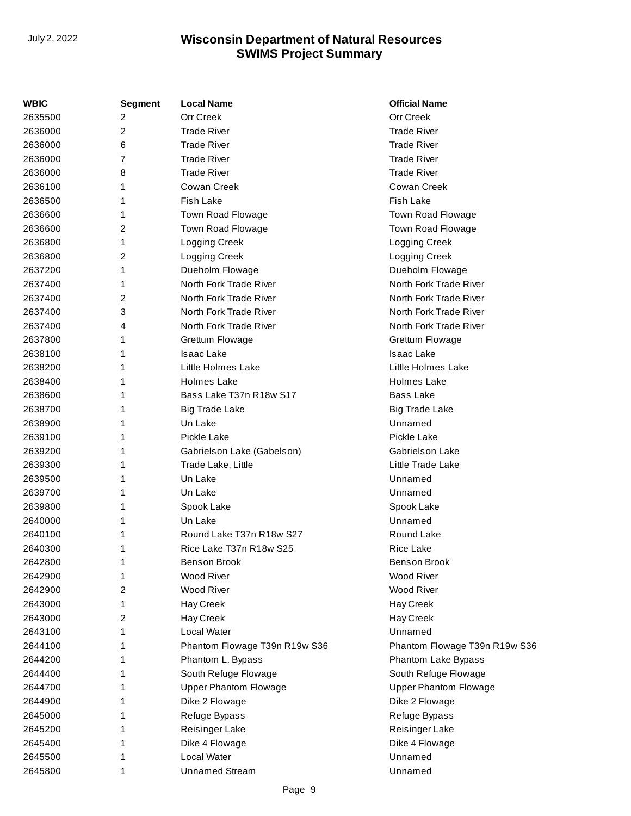| <b>WBIC</b> | <b>Segment</b> | <b>Local Name</b>             | <b>Official Name</b>          |
|-------------|----------------|-------------------------------|-------------------------------|
| 2635500     | 2              | Orr Creek                     | Orr Creek                     |
| 2636000     | 2              | <b>Trade River</b>            | <b>Trade River</b>            |
| 2636000     | 6              | <b>Trade River</b>            | <b>Trade River</b>            |
| 2636000     | 7              | <b>Trade River</b>            | <b>Trade River</b>            |
| 2636000     | 8              | <b>Trade River</b>            | <b>Trade River</b>            |
| 2636100     | 1              | Cowan Creek                   | Cowan Creek                   |
| 2636500     | 1              | <b>Fish Lake</b>              | <b>Fish Lake</b>              |
| 2636600     | 1              | Town Road Flowage             | Town Road Flowage             |
| 2636600     | 2              | Town Road Flowage             | Town Road Flowage             |
| 2636800     | 1              | Logging Creek                 | Logging Creek                 |
| 2636800     | 2              | Logging Creek                 | Logging Creek                 |
| 2637200     | 1              | Dueholm Flowage               | Dueholm Flowage               |
| 2637400     | 1              | North Fork Trade River        | North Fork Trade River        |
| 2637400     | 2              | North Fork Trade River        | North Fork Trade River        |
| 2637400     | 3              | North Fork Trade River        | North Fork Trade River        |
| 2637400     | 4              | North Fork Trade River        | North Fork Trade River        |
| 2637800     | 1              | Grettum Flowage               | Grettum Flowage               |
| 2638100     | 1              | <b>Isaac Lake</b>             | <b>Isaac Lake</b>             |
| 2638200     | 1              | Little Holmes Lake            | Little Holmes Lake            |
| 2638400     | 1              | Holmes Lake                   | <b>Holmes Lake</b>            |
| 2638600     | 1              | Bass Lake T37n R18w S17       | <b>Bass Lake</b>              |
| 2638700     | 1              | <b>Big Trade Lake</b>         | Big Trade Lake                |
| 2638900     | 1              | Un Lake                       | Unnamed                       |
| 2639100     | 1              | Pickle Lake                   | Pickle Lake                   |
| 2639200     | 1              | Gabrielson Lake (Gabelson)    | Gabriels on Lake              |
| 2639300     | 1              | Trade Lake, Little            | Little Trade Lake             |
| 2639500     | 1              | Un Lake                       | Unnamed                       |
| 2639700     | 1              | Un Lake                       | Unnamed                       |
| 2639800     | 1              | Spook Lake                    | Spook Lake                    |
| 2640000     | 1              | Un Lake                       | Unnamed                       |
| 2640100     | 1              | Round Lake T37n R18w S27      | Round Lake                    |
| 2640300     | 1              | Rice Lake T37n R18w S25       | Rice Lake                     |
| 2642800     | 1              | <b>Benson Brook</b>           | Benson Brook                  |
| 2642900     | 1              | Wood River                    | Wood River                    |
| 2642900     | 2              | Wood River                    | Wood River                    |
| 2643000     | 1              | Hay Creek                     | Hay Creek                     |
| 2643000     | 2              | Hay Creek                     | Hay Creek                     |
| 2643100     | 1              | Local Water                   | Unnamed                       |
| 2644100     | 1              | Phantom Flowage T39n R19w S36 | Phantom Flowage T39n R19w S36 |
| 2644200     | 1              | Phantom L. Bypass             | Phantom Lake Bypass           |
| 2644400     | 1              | South Refuge Flowage          | South Refuge Flowage          |
| 2644700     | 1              | <b>Upper Phantom Flowage</b>  | <b>Upper Phantom Flowage</b>  |
| 2644900     | 1              | Dike 2 Flowage                | Dike 2 Flowage                |
| 2645000     | 1              | Refuge Bypass                 | Refuge Bypass                 |
| 2645200     | 1              | Reisinger Lake                | Reisinger Lake                |
| 2645400     | 1              | Dike 4 Flowage                | Dike 4 Flowage                |
| 2645500     | 1              | Local Water                   | Unnamed                       |
| 2645800     | 1              | <b>Unnamed Stream</b>         | Unnamed                       |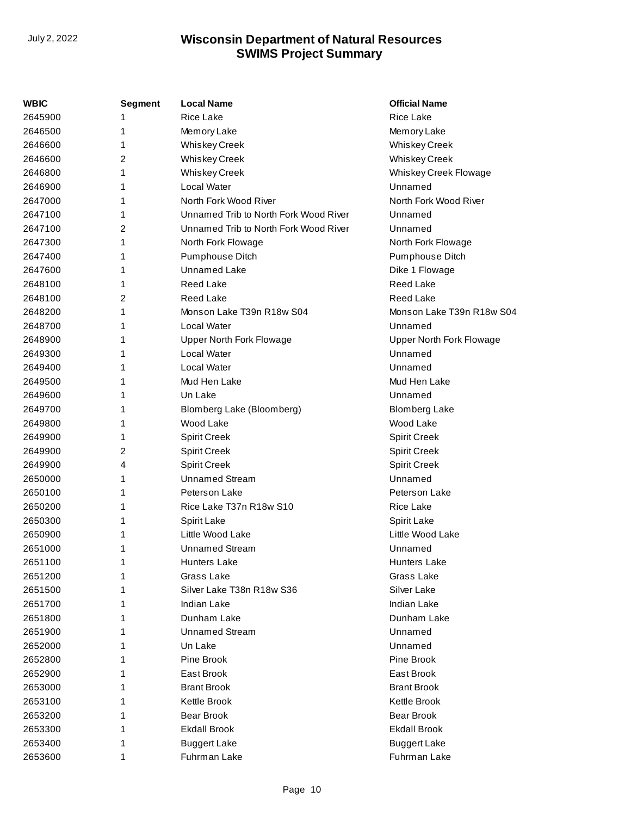| WBIC    | <b>Segment</b> | <b>Local Name</b>                     | <b>Official Name</b>      |
|---------|----------------|---------------------------------------|---------------------------|
| 2645900 |                | <b>Rice Lake</b>                      | <b>Rice Lake</b>          |
| 2646500 | 1              | Memory Lake                           | Memory Lake               |
| 2646600 | 1              | <b>Whiskey Creek</b>                  | <b>Whiskey Creek</b>      |
| 2646600 | 2              | <b>Whiskey Creek</b>                  | <b>Whiskey Creek</b>      |
| 2646800 | 1              | <b>Whiskey Creek</b>                  | Whiskey Creek Flowage     |
| 2646900 | 1              | Local Water                           | Unnamed                   |
| 2647000 | 1              | North Fork Wood River                 | North Fork Wood River     |
| 2647100 | 1              | Unnamed Trib to North Fork Wood River | Unnamed                   |
| 2647100 | 2              | Unnamed Trib to North Fork Wood River | Unnamed                   |
| 2647300 | 1              | North Fork Flowage                    | North Fork Flowage        |
| 2647400 | 1              | Pumphouse Ditch                       | Pumphouse Ditch           |
| 2647600 | 1              | <b>Unnamed Lake</b>                   | Dike 1 Flowage            |
| 2648100 | 1              | <b>Reed Lake</b>                      | <b>Reed Lake</b>          |
| 2648100 | 2              | <b>Reed Lake</b>                      | <b>Reed Lake</b>          |
| 2648200 | 1              | Monson Lake T39n R18w S04             | Monson Lake T39n R18w S04 |
| 2648700 | 1              | Local Water                           | Unnamed                   |
| 2648900 | 1              | Upper North Fork Flowage              | Upper North Fork Flowage  |
| 2649300 | 1              | Local Water                           | Unnamed                   |
| 2649400 | 1              | Local Water                           | Unnamed                   |
| 2649500 |                | Mud Hen Lake                          | Mud Hen Lake              |
| 2649600 | 1              | Un Lake                               | Unnamed                   |
| 2649700 | 1              | Blomberg Lake (Bloomberg)             | Blomberg Lake             |
| 2649800 | 1              | Wood Lake                             | Wood Lake                 |
| 2649900 | 1              | <b>Spirit Creek</b>                   | <b>Spirit Creek</b>       |
| 2649900 | 2              | <b>Spirit Creek</b>                   | <b>Spirit Creek</b>       |
| 2649900 | 4              | <b>Spirit Creek</b>                   | <b>Spirit Creek</b>       |
| 2650000 | 1              | <b>Unnamed Stream</b>                 | Unnamed                   |
| 2650100 | 1              | Peterson Lake                         | Peterson Lake             |
| 2650200 | 1              | Rice Lake T37n R18w S10               | <b>Rice Lake</b>          |
| 2650300 | 1              | <b>Spirit Lake</b>                    | <b>Spirit Lake</b>        |
| 2650900 | 1              | Little Wood Lake                      | Little Wood Lake          |
| 2651000 | 1              | <b>Unnamed Stream</b>                 | Unnamed                   |
| 2651100 | 1              | <b>Hunters Lake</b>                   | <b>Hunters Lake</b>       |
| 2651200 | 1              | Grass Lake                            | Grass Lake                |
| 2651500 |                | Silver Lake T38n R18w S36             | Silver Lake               |
| 2651700 |                | Indian Lake                           | Indian Lake               |
| 2651800 |                | Dunham Lake                           | Dunham Lake               |
| 2651900 |                | <b>Unnamed Stream</b>                 | Unnamed                   |
| 2652000 |                | Un Lake                               | Unnamed                   |
| 2652800 |                | Pine Brook                            | Pine Brook                |
| 2652900 | 1              | East Brook                            | East Brook                |
| 2653000 |                | <b>Brant Brook</b>                    | <b>Brant Brook</b>        |
| 2653100 |                | Kettle Brook                          | Kettle Brook              |
| 2653200 |                | <b>Bear Brook</b>                     | <b>Bear Brook</b>         |
| 2653300 |                | <b>Ekdall Brook</b>                   | <b>Ekdall Brook</b>       |
| 2653400 | 1              | <b>Buggert Lake</b>                   | <b>Buggert Lake</b>       |
| 2653600 | 1              | Fuhrman Lake                          | Fuhrman Lake              |
|         |                |                                       |                           |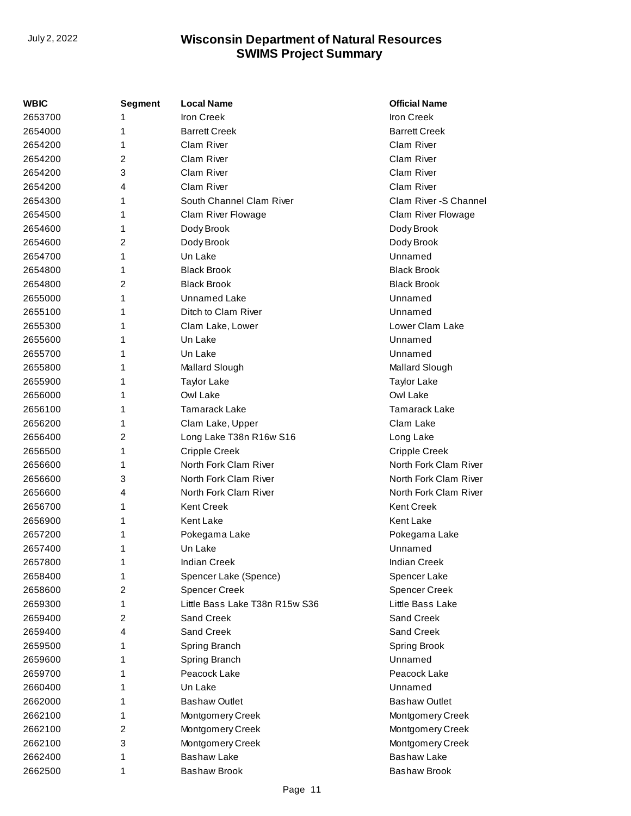| WBIC    | <b>Segment</b> | <b>Local Name</b>              | <b>Official Name</b>   |
|---------|----------------|--------------------------------|------------------------|
| 2653700 |                | <b>Iron Creek</b>              | <b>Iron Creek</b>      |
| 2654000 | 1              | <b>Barrett Creek</b>           | <b>Barrett Creek</b>   |
| 2654200 | 1              | Clam River                     | Clam River             |
| 2654200 | 2              | Clam River                     | Clam River             |
| 2654200 | 3              | <b>Clam River</b>              | Clam River             |
| 2654200 | 4              | Clam River                     | Clam River             |
| 2654300 | 1              | South Channel Clam River       | Clam River - S Channel |
| 2654500 | 1              | Clam River Flowage             | Clam River Flowage     |
| 2654600 | 1              | Dody Brook                     | Dody Brook             |
| 2654600 | 2              | Dody Brook                     | Dody Brook             |
| 2654700 | 1              | Un Lake                        | Unnamed                |
| 2654800 | 1              | <b>Black Brook</b>             | <b>Black Brook</b>     |
| 2654800 | 2              | <b>Black Brook</b>             | <b>Black Brook</b>     |
| 2655000 | 1              | Unnamed Lake                   | Unnamed                |
| 2655100 | 1              | Ditch to Clam River            | Unnamed                |
| 2655300 | 1              | Clam Lake, Lower               | Lower Clam Lake        |
| 2655600 | 1              | Un Lake                        | Unnamed                |
| 2655700 | 1              | Un Lake                        | Unnamed                |
| 2655800 | 1              | Mallard Slough                 | Mallard Slough         |
| 2655900 | 1              | <b>Taylor Lake</b>             | <b>Taylor Lake</b>     |
| 2656000 | 1              | Owl Lake                       | Owl Lake               |
| 2656100 | 1              | <b>Tamarack Lake</b>           | <b>Tamarack Lake</b>   |
| 2656200 | 1              | Clam Lake, Upper               | Clam Lake              |
| 2656400 | 2              | Long Lake T38n R16w S16        | Long Lake              |
| 2656500 | 1              | <b>Cripple Creek</b>           | <b>Cripple Creek</b>   |
| 2656600 | 1              | North Fork Clam River          | North Fork Clam River  |
| 2656600 | 3              | North Fork Clam River          | North Fork Clam River  |
| 2656600 | 4              | North Fork Clam River          | North Fork Clam River  |
| 2656700 | 1              | <b>Kent Creek</b>              | <b>Kent Creek</b>      |
| 2656900 | 1              | Kent Lake                      | <b>Kent Lake</b>       |
| 2657200 | 1              | Pokegama Lake                  | Pokegama Lake          |
| 2657400 | 1              | Un Lake                        | Unnamed                |
| 2657800 | 1              | <b>Indian Creek</b>            | Indian Creek           |
| 2658400 | 1              | Spencer Lake (Spence)          | Spencer Lake           |
| 2658600 | 2              | <b>Spencer Creek</b>           | Spencer Creek          |
| 2659300 | 1              | Little Bass Lake T38n R15w S36 | Little Bass Lake       |
| 2659400 | 2              | Sand Creek                     | Sand Creek             |
| 2659400 | 4              | Sand Creek                     | Sand Creek             |
| 2659500 | 1              | Spring Branch                  | Spring Brook           |
| 2659600 | 1              | Spring Branch                  | Unnamed                |
| 2659700 | 1              | Peacock Lake                   | Peacock Lake           |
| 2660400 | 1              | Un Lake                        | Unnamed                |
| 2662000 | 1              | <b>Bashaw Outlet</b>           | <b>Bashaw Outlet</b>   |
| 2662100 | 1              | Montgomery Creek               | Montgomery Creek       |
| 2662100 | 2              | Montgomery Creek               | Montgomery Creek       |
| 2662100 | 3              | Montgomery Creek               | Montgomery Creek       |
| 2662400 | 1              | <b>Bashaw Lake</b>             | <b>Bashaw Lake</b>     |
| 2662500 | 1              | <b>Bashaw Brook</b>            | <b>Bashaw Brook</b>    |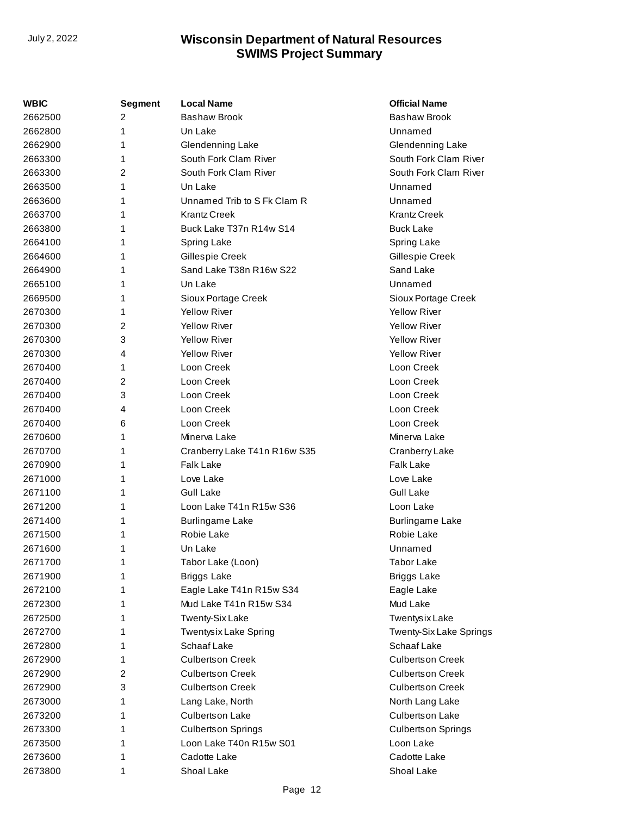| WBIC    | Segment | Local Name                   | <b>Official Name</b>      |
|---------|---------|------------------------------|---------------------------|
| 2662500 | 2       | <b>Bashaw Brook</b>          | <b>Bashaw Brook</b>       |
| 2662800 | 1       | Un Lake                      | Unnamed                   |
| 2662900 | 1       | Glendenning Lake             | Glendenning Lake          |
| 2663300 | 1       | South Fork Clam River        | South Fork Clam River     |
| 2663300 | 2       | South Fork Clam River        | South Fork Clam River     |
| 2663500 | 1       | Un Lake                      | Unnamed                   |
| 2663600 | 1       | Unnamed Trib to S Fk Clam R  | Unnamed                   |
| 2663700 | 1       | <b>Krantz Creek</b>          | <b>Krantz Creek</b>       |
| 2663800 | 1       | Buck Lake T37n R14w S14      | <b>Buck Lake</b>          |
| 2664100 | 1       | Spring Lake                  | Spring Lake               |
| 2664600 | 1       | Gillespie Creek              | Gillespie Creek           |
| 2664900 | 1       | Sand Lake T38n R16w S22      | Sand Lake                 |
| 2665100 | 1       | Un Lake                      | Unnamed                   |
| 2669500 | 1       | Sioux Portage Creek          | Sioux Portage Creek       |
| 2670300 | 1       | <b>Yellow River</b>          | <b>Yellow River</b>       |
| 2670300 | 2       | <b>Yellow River</b>          | <b>Yellow River</b>       |
| 2670300 | 3       | <b>Yellow River</b>          | <b>Yellow River</b>       |
| 2670300 | 4       | <b>Yellow River</b>          | <b>Yellow River</b>       |
| 2670400 | 1       | Loon Creek                   | Loon Creek                |
| 2670400 | 2       | Loon Creek                   | Loon Creek                |
| 2670400 | 3       | Loon Creek                   | Loon Creek                |
| 2670400 | 4       | Loon Creek                   | Loon Creek                |
| 2670400 | 6       | Loon Creek                   | Loon Creek                |
| 2670600 | 1       | Minerva Lake                 | Minerva Lake              |
| 2670700 | 1       | Cranberry Lake T41n R16w S35 | Cranberry Lake            |
| 2670900 | 1       | <b>Falk Lake</b>             | <b>Falk Lake</b>          |
| 2671000 | 1       | Love Lake                    | Love Lake                 |
| 2671100 | 1       | Gull Lake                    | <b>Gull Lake</b>          |
| 2671200 | 1       | Loon Lake T41n R15w S36      | Loon Lake                 |
| 2671400 | 1       | <b>Burlingame Lake</b>       | <b>Burlingame Lake</b>    |
| 2671500 | 1       | Robie Lake                   | Robie Lake                |
| 2671600 | 1       | Un Lake                      | Unnamed                   |
| 2671700 | 1       | Tabor Lake (Loon)            | <b>Tabor Lake</b>         |
| 2671900 | 1       | <b>Briggs Lake</b>           | <b>Briggs Lake</b>        |
| 2672100 | 1       | Eagle Lake T41n R15w S34     | Eagle Lake                |
| 2672300 | 1       | Mud Lake T41n R15w S34       | Mud Lake                  |
| 2672500 | 1       | <b>Twenty-Six Lake</b>       | <b>Twentysix Lake</b>     |
| 2672700 | 1       | Twentysix Lake Spring        | Twenty-Six Lake Springs   |
| 2672800 | 1       | Schaaf Lake                  | Schaaf Lake               |
| 2672900 | 1       | <b>Culbertson Creek</b>      | <b>Culbertson Creek</b>   |
| 2672900 | 2       | <b>Culbertson Creek</b>      | <b>Culbertson Creek</b>   |
| 2672900 | 3       | <b>Culbertson Creek</b>      | <b>Culbertson Creek</b>   |
| 2673000 | 1       | Lang Lake, North             | North Lang Lake           |
| 2673200 | 1       | <b>Culbertson Lake</b>       | <b>Culbertson Lake</b>    |
| 2673300 | 1       | <b>Culbertson Springs</b>    | <b>Culbertson Springs</b> |
| 2673500 | 1       | Loon Lake T40n R15w S01      | Loon Lake                 |
| 2673600 | 1       | Cadotte Lake                 | Cadotte Lake              |
| 2673800 | 1       | Shoal Lake                   | Shoal Lake                |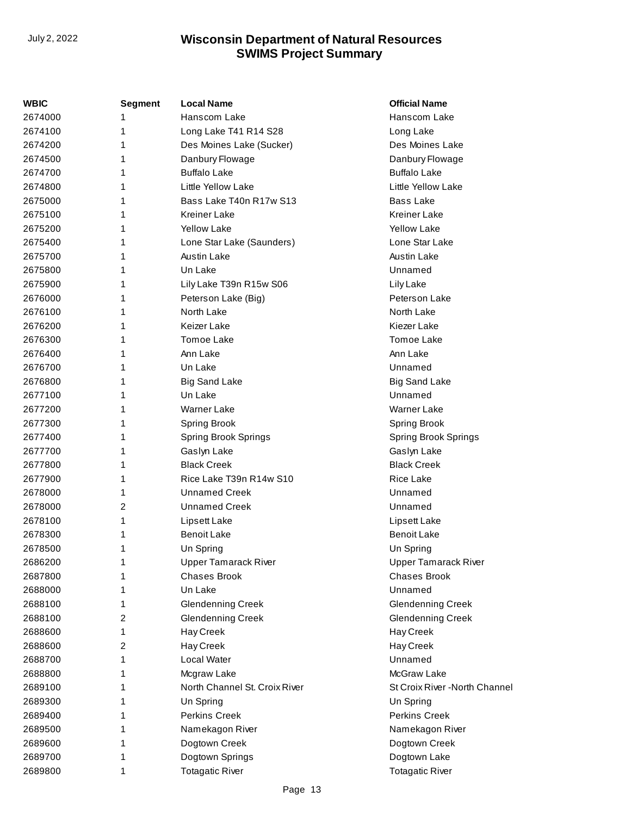| WBIC    | <b>Segment</b> | <b>Local Name</b>             | <b>Official Name</b>           |
|---------|----------------|-------------------------------|--------------------------------|
| 2674000 | 1              | Hanscom Lake                  | Hanscom Lake                   |
| 2674100 | 1              | Long Lake T41 R14 S28         | Long Lake                      |
| 2674200 | 1              | Des Moines Lake (Sucker)      | Des Moines Lake                |
| 2674500 | 1              | Danbury Flowage               | Danbury Flowage                |
| 2674700 | 1              | <b>Buffalo Lake</b>           | <b>Buffalo Lake</b>            |
| 2674800 | 1              | Little Yellow Lake            | Little Yellow Lake             |
| 2675000 | 1              | Bass Lake T40n R17w S13       | <b>Bass Lake</b>               |
| 2675100 | 1              | <b>Kreiner Lake</b>           | <b>Kreiner Lake</b>            |
| 2675200 | 1              | <b>Yellow Lake</b>            | <b>Yellow Lake</b>             |
| 2675400 | 1              | Lone Star Lake (Saunders)     | Lone Star Lake                 |
| 2675700 | 1              | <b>Austin Lake</b>            | <b>Austin Lake</b>             |
| 2675800 | 1              | Un Lake                       | Unnamed                        |
| 2675900 | 1              | Lily Lake T39n R15w S06       | Lily Lake                      |
| 2676000 | 1              | Peterson Lake (Big)           | Peterson Lake                  |
| 2676100 | 1              | North Lake                    | North Lake                     |
| 2676200 | 1              | Keizer Lake                   | Kiezer Lake                    |
| 2676300 | 1              | Tomoe Lake                    | Tomoe Lake                     |
| 2676400 | 1              | Ann Lake                      | Ann Lake                       |
| 2676700 | 1              | Un Lake                       | Unnamed                        |
| 2676800 | 1              | <b>Big Sand Lake</b>          | <b>Big Sand Lake</b>           |
| 2677100 | 1              | Un Lake                       | Unnamed                        |
| 2677200 | 1              | Warner Lake                   | Warner Lake                    |
| 2677300 | 1              | <b>Spring Brook</b>           | <b>Spring Brook</b>            |
| 2677400 | 1              | <b>Spring Brook Springs</b>   | <b>Spring Brook Springs</b>    |
| 2677700 | 1              | Gaslyn Lake                   | Gaslyn Lake                    |
| 2677800 | 1              | <b>Black Creek</b>            | <b>Black Creek</b>             |
| 2677900 | 1              | Rice Lake T39n R14w S10       | <b>Rice Lake</b>               |
| 2678000 | 1              | <b>Unnamed Creek</b>          | Unnamed                        |
| 2678000 | 2              | <b>Unnamed Creek</b>          | Unnamed                        |
| 2678100 | 1              | Lipsett Lake                  | Lipsett Lake                   |
| 2678300 | 1              | <b>Benoit Lake</b>            | <b>Benoit Lake</b>             |
| 2678500 | 1              | Un Spring                     | Un Spring                      |
| 2686200 | 1              | <b>Upper Tamarack River</b>   | <b>Upper Tamarack River</b>    |
| 2687800 | 1              | <b>Chases Brook</b>           | <b>Chases Brook</b>            |
| 2688000 | 1              | Un Lake                       | Unnamed                        |
| 2688100 | 1              | <b>Glendenning Creek</b>      | <b>Glendenning Creek</b>       |
| 2688100 | 2              | <b>Glendenning Creek</b>      | <b>Glendenning Creek</b>       |
| 2688600 | 1              | Hay Creek                     | Hay Creek                      |
| 2688600 | 2              | Hay Creek                     | Hay Creek                      |
| 2688700 | 1              | Local Water                   | Unnamed                        |
| 2688800 | 1              | Mcgraw Lake                   | McGraw Lake                    |
| 2689100 | 1              | North Channel St. Croix River | St Croix River - North Channel |
| 2689300 | 1              | Un Spring                     | Un Spring                      |
| 2689400 | 1              | Perkins Creek                 | Perkins Creek                  |
| 2689500 | 1              | Namekagon River               | Namekagon River                |
| 2689600 | 1              | Dogtown Creek                 | Dogtown Creek                  |
| 2689700 | 1              | Dogtown Springs               | Dogtown Lake                   |
| 2689800 | 1              | <b>Totagatic River</b>        | <b>Totagatic River</b>         |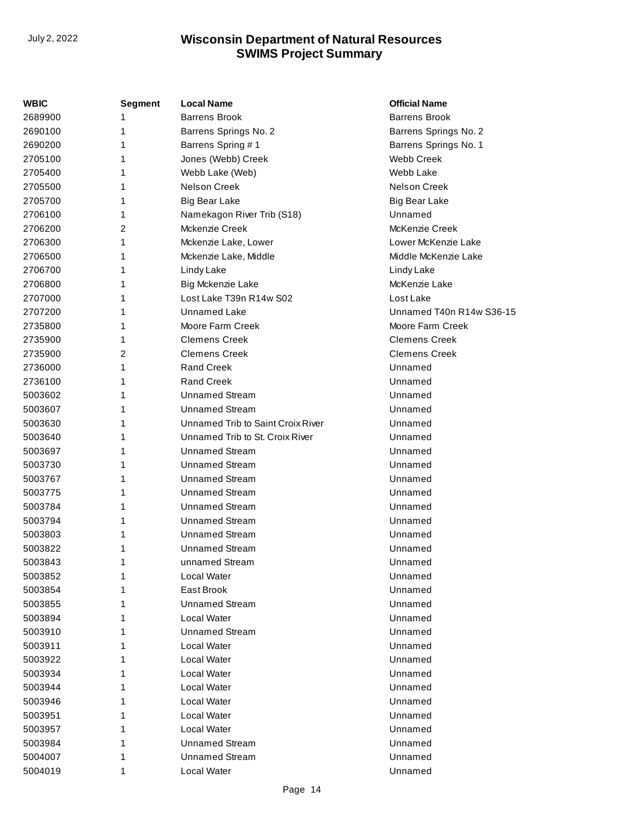| WBIC    | <b>Segment</b> | <b>Local Name</b>                 | <b>Official Name</b>     |
|---------|----------------|-----------------------------------|--------------------------|
| 2689900 |                | <b>Barrens Brook</b>              | <b>Barrens Brook</b>     |
| 2690100 | 1              | Barrens Springs No. 2             | Barrens Springs No. 2    |
| 2690200 | 1              | Barrens Spring #1                 | Barrens Springs No. 1    |
| 2705100 | 1              | Jones (Webb) Creek                | <b>Webb Creek</b>        |
| 2705400 | 1              | Webb Lake (Web)                   | Webb Lake                |
| 2705500 | 1              | <b>Nelson Creek</b>               | <b>Nelson Creek</b>      |
| 2705700 | 1              | <b>Big Bear Lake</b>              | <b>Big Bear Lake</b>     |
| 2706100 | 1              | Namekagon River Trib (S18)        | Unnamed                  |
| 2706200 | 2              | Mckenzie Creek                    | McKenzie Creek           |
| 2706300 | 1              | Mckenzie Lake, Lower              | Lower McKenzie Lake      |
| 2706500 | 1              | Mckenzie Lake, Middle             | Middle McKenzie Lake     |
| 2706700 | 1              | Lindy Lake                        | Lindy Lake               |
| 2706800 | 1              | Big Mckenzie Lake                 | McKenzie Lake            |
| 2707000 | 1              | Lost Lake T39n R14w S02           | Lost Lake                |
| 2707200 | 1              | <b>Unnamed Lake</b>               | Unnamed T40n R14w S36-15 |
| 2735800 | 1              | Moore Farm Creek                  | Moore Farm Creek         |
| 2735900 | 1              | <b>Clemens Creek</b>              | <b>Clemens Creek</b>     |
| 2735900 | 2              | <b>Clemens Creek</b>              | <b>Clemens Creek</b>     |
| 2736000 | 1              | <b>Rand Creek</b>                 | Unnamed                  |
| 2736100 | 1              | <b>Rand Creek</b>                 | Unnamed                  |
| 5003602 | 1              | <b>Unnamed Stream</b>             | Unnamed                  |
| 5003607 | 1              | <b>Unnamed Stream</b>             | Unnamed                  |
| 5003630 | 1              | Unnamed Trib to Saint Croix River | Unnamed                  |
| 5003640 | 1              | Unnamed Trib to St. Croix River   | Unnamed                  |
| 5003697 | 1              | <b>Unnamed Stream</b>             | Unnamed                  |
| 5003730 | 1              | <b>Unnamed Stream</b>             | Unnamed                  |
| 5003767 | 1              | <b>Unnamed Stream</b>             | Unnamed                  |
| 5003775 | 1              | <b>Unnamed Stream</b>             | Unnamed                  |
| 5003784 | 1              | <b>Unnamed Stream</b>             | Unnamed                  |
| 5003794 | 1              | <b>Unnamed Stream</b>             | Unnamed                  |
| 5003803 | 1              | <b>Unnamed Stream</b>             | Unnamed                  |
| 5003822 | 1              | <b>Unnamed Stream</b>             | Unnamed                  |
| 5003843 | 1              | unnamed Stream                    | Unnamed                  |
| 5003852 | 1              | Local Water                       | Unnamed                  |
| 5003854 | 1              | East Brook                        | Unnamed                  |
| 5003855 | 1              | <b>Unnamed Stream</b>             | Unnamed                  |
| 5003894 | 1              | Local Water                       | Unnamed                  |
| 5003910 | 1              | <b>Unnamed Stream</b>             | Unnamed                  |
| 5003911 | 1              | Local Water                       | Unnamed                  |
| 5003922 | 1              | Local Water                       | Unnamed                  |
| 5003934 | 1              | Local Water                       | Unnamed                  |
| 5003944 | 1              | Local Water                       | Unnamed                  |
| 5003946 | 1              | Local Water                       | Unnamed                  |
| 5003951 | 1              | Local Water                       | Unnamed                  |
| 5003957 | 1              | Local Water                       | Unnamed                  |
| 5003984 | 1              | <b>Unnamed Stream</b>             | Unnamed                  |
| 5004007 | 1              | <b>Unnamed Stream</b>             | Unnamed                  |
| 5004019 | 1              | Local Water                       | Unnamed                  |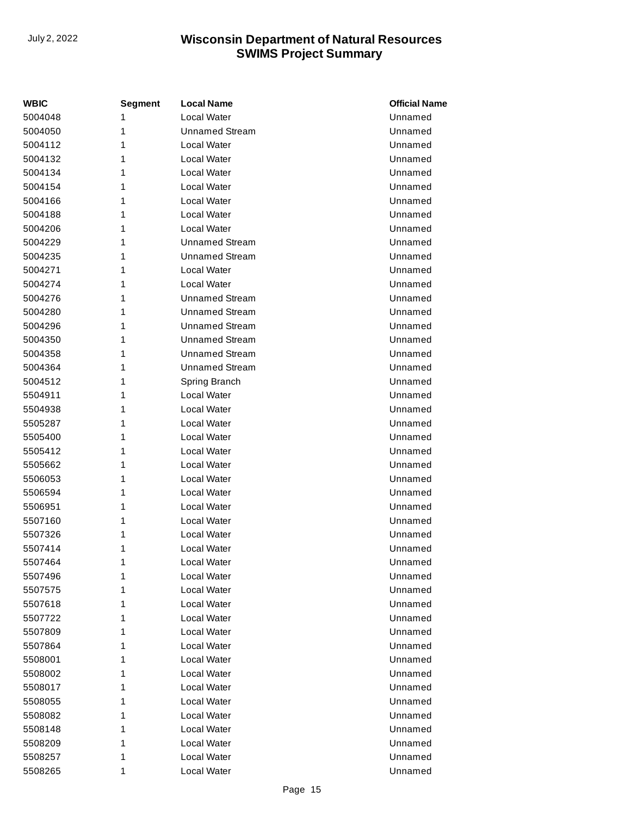| WBIC    | Segment | <b>Local Name</b>     | <b>Official Name</b> |
|---------|---------|-----------------------|----------------------|
| 5004048 | 1       | Local Water           | Unnamed              |
| 5004050 | 1       | <b>Unnamed Stream</b> | Unnamed              |
| 5004112 | 1       | Local Water           | Unnamed              |
| 5004132 | 1       | Local Water           | Unnamed              |
| 5004134 | 1       | Local Water           | Unnamed              |
| 5004154 | 1       | Local Water           | Unnamed              |
| 5004166 | 1       | Local Water           | Unnamed              |
| 5004188 | 1       | Local Water           | Unnamed              |
| 5004206 | 1       | Local Water           | Unnamed              |
| 5004229 | 1       | <b>Unnamed Stream</b> | Unnamed              |
| 5004235 | 1       | <b>Unnamed Stream</b> | Unnamed              |
| 5004271 | 1       | Local Water           | Unnamed              |
| 5004274 | 1       | Local Water           | Unnamed              |
| 5004276 | 1       | <b>Unnamed Stream</b> | Unnamed              |
| 5004280 | 1       | <b>Unnamed Stream</b> | Unnamed              |
| 5004296 | 1       | <b>Unnamed Stream</b> | Unnamed              |
| 5004350 | 1       | <b>Unnamed Stream</b> | Unnamed              |
| 5004358 | 1       | <b>Unnamed Stream</b> | Unnamed              |
| 5004364 | 1       | <b>Unnamed Stream</b> | Unnamed              |
| 5004512 | 1       | Spring Branch         | Unnamed              |
| 5504911 | 1       | Local Water           | Unnamed              |
| 5504938 | 1       | Local Water           | Unnamed              |
| 5505287 | 1       | Local Water           | Unnamed              |
| 5505400 | 1       | Local Water           | Unnamed              |
| 5505412 | 1       | Local Water           | Unnamed              |
| 5505662 | 1       | Local Water           | Unnamed              |
| 5506053 | 1       | Local Water           | Unnamed              |
| 5506594 | 1       | Local Water           | Unnamed              |
| 5506951 | 1       | Local Water           | Unnamed              |
| 5507160 | 1       | Local Water           | Unnamed              |
| 5507326 | 1       | Local Water           | Unnamed              |
| 5507414 | 1       | Local Water           | Unnamed              |
| 5507464 | 1       | Local Water           | Unnamed              |
| 5507496 | 1       | Local Water           | Unnamed              |
| 5507575 | 1       | Local Water           | Unnamed              |
| 5507618 | 1       | Local Water           | Unnamed              |
| 5507722 | 1       | Local Water           | Unnamed              |
| 5507809 | 1       | Local Water           | Unnamed              |
| 5507864 | 1       | Local Water           | Unnamed              |
| 5508001 | 1       | Local Water           | Unnamed              |
| 5508002 | 1       | Local Water           | Unnamed              |
| 5508017 | 1       | Local Water           | Unnamed              |
| 5508055 | 1       | Local Water           | Unnamed              |
| 5508082 | 1       | Local Water           | Unnamed              |
| 5508148 | 1       | Local Water           | Unnamed              |
| 5508209 | 1       | Local Water           | Unnamed              |
| 5508257 | 1       | Local Water           | Unnamed              |
| 5508265 | 1       | Local Water           | Unnamed              |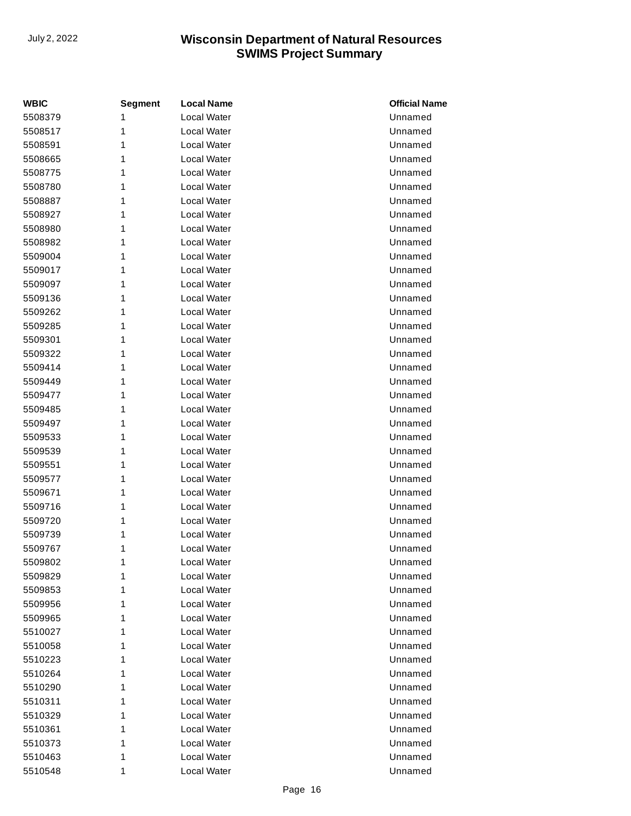| <b>WBIC</b> | <b>Segment</b> | <b>Local Name</b>  | <b>Official Name</b> |
|-------------|----------------|--------------------|----------------------|
| 5508379     | 1              | <b>Local Water</b> | Unnamed              |
| 5508517     | 1              | Local Water        | Unnamed              |
| 5508591     | 1              | Local Water        | Unnamed              |
| 5508665     | 1              | Local Water        | Unnamed              |
| 5508775     | 1              | Local Water        | Unnamed              |
| 5508780     | 1              | <b>Local Water</b> | Unnamed              |
| 5508887     | 1              | Local Water        | Unnamed              |
| 5508927     | 1              | Local Water        | Unnamed              |
| 5508980     | 1              | Local Water        | Unnamed              |
| 5508982     | 1              | Local Water        | Unnamed              |
| 5509004     | 1              | Local Water        | Unnamed              |
| 5509017     | 1              | Local Water        | Unnamed              |
| 5509097     | 1              | Local Water        | Unnamed              |
| 5509136     | 1              | <b>Local Water</b> | Unnamed              |
| 5509262     | 1              | Local Water        | Unnamed              |
| 5509285     | 1              | Local Water        | Unnamed              |
| 5509301     | 1              | Local Water        | Unnamed              |
| 5509322     | 1              | Local Water        | Unnamed              |
| 5509414     | 1              | Local Water        | Unnamed              |
| 5509449     | 1              | Local Water        | Unnamed              |
| 5509477     | 1              | Local Water        | Unnamed              |
| 5509485     | 1              | <b>Local Water</b> | Unnamed              |
| 5509497     | 1              | Local Water        | Unnamed              |
| 5509533     | 1              | Local Water        | Unnamed              |
| 5509539     | 1              | Local Water        | Unnamed              |
| 5509551     | 1              | Local Water        | Unnamed              |
| 5509577     | 1              | Local Water        | Unnamed              |
| 5509671     | 1              | Local Water        | Unnamed              |
| 5509716     | 1              | Local Water        | Unnamed              |
| 5509720     | 1              | Local Water        | Unnamed              |
| 5509739     | 1              | Local Water        | Unnamed              |
| 5509767     | 1              | Local Water        | Unnamed              |
| 5509802     | 1              | Local Water        | Unnamed              |
| 5509829     | 1              | Local Water        | Unnamed              |
| 5509853     | 1              | Local Water        | Unnamed              |
| 5509956     | 1              | Local Water        | Unnamed              |
| 5509965     | 1              | Local Water        | Unnamed              |
| 5510027     | 1              | Local Water        | Unnamed              |
| 5510058     | 1              | Local Water        | Unnamed              |
| 5510223     | 1              | Local Water        | Unnamed              |
| 5510264     | 1              | Local Water        | Unnamed              |
| 5510290     | 1              | Local Water        | Unnamed              |
| 5510311     | 1              | Local Water        | Unnamed              |
| 5510329     | 1              | Local Water        | Unnamed              |
| 5510361     | 1              | Local Water        | Unnamed              |
| 5510373     | 1              | Local Water        | Unnamed              |
| 5510463     | 1              | Local Water        | Unnamed              |
| 5510548     | 1              | Local Water        | Unnamed              |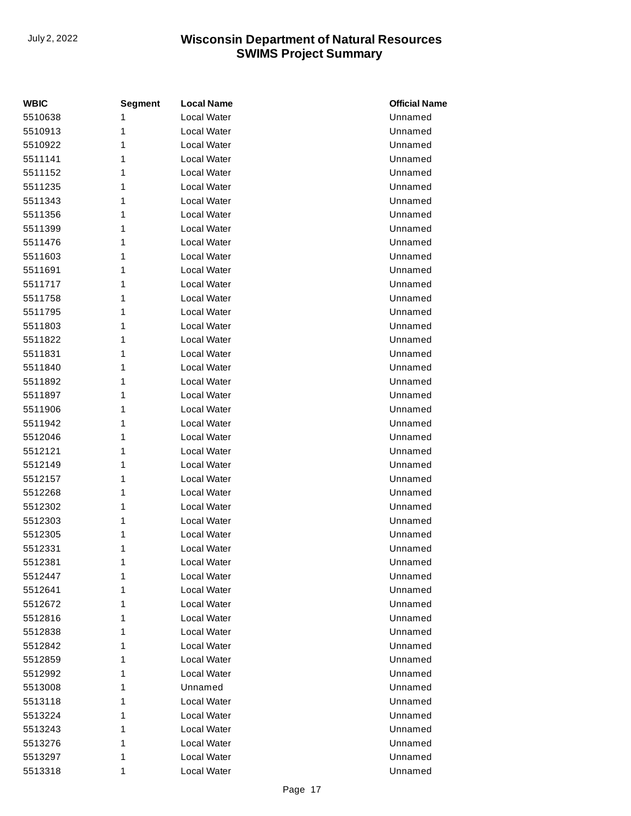| <b>WBIC</b> | <b>Segment</b> | <b>Local Name</b>  | <b>Official Name</b> |
|-------------|----------------|--------------------|----------------------|
| 5510638     | 1              | Local Water        | Unnamed              |
| 5510913     | 1              | Local Water        | Unnamed              |
| 5510922     | 1              | Local Water        | Unnamed              |
| 5511141     | 1              | Local Water        | Unnamed              |
| 5511152     | 1              | Local Water        | Unnamed              |
| 5511235     | 1              | Local Water        | Unnamed              |
| 5511343     | 1              | Local Water        | Unnamed              |
| 5511356     | 1              | Local Water        | Unnamed              |
| 5511399     | 1              | Local Water        | Unnamed              |
| 5511476     | 1              | Local Water        | Unnamed              |
| 5511603     | 1              | Local Water        | Unnamed              |
| 5511691     | 1              | Local Water        | Unnamed              |
| 5511717     | 1              | Local Water        | Unnamed              |
| 5511758     | 1              | <b>Local Water</b> | Unnamed              |
| 5511795     | 1              | Local Water        | Unnamed              |
| 5511803     | 1              | Local Water        | Unnamed              |
| 5511822     | 1              | Local Water        | Unnamed              |
| 5511831     | 1              | Local Water        | Unnamed              |
| 5511840     | 1              | Local Water        | Unnamed              |
| 5511892     | 1              | Local Water        | Unnamed              |
| 5511897     | 1              | Local Water        | Unnamed              |
| 5511906     | 1              | <b>Local Water</b> | Unnamed              |
| 5511942     | 1              | Local Water        | Unnamed              |
| 5512046     | 1              | Local Water        | Unnamed              |
| 5512121     | 1              | Local Water        | Unnamed              |
| 5512149     | 1              | Local Water        | Unnamed              |
| 5512157     | 1              | Local Water        | Unnamed              |
| 5512268     | 1              | Local Water        | Unnamed              |
| 5512302     | 1              | Local Water        | Unnamed              |
| 5512303     | 1              | Local Water        | Unnamed              |
| 5512305     | 1              | Local Water        | Unnamed              |
| 5512331     | 1              | Local Water        | Unnamed              |
| 5512381     | 1              | Local Water        | Unnamed              |
| 5512447     | 1              | Local Water        | Unnamed              |
| 5512641     | 1              | Local Water        | Unnamed              |
| 5512672     | 1              | Local Water        | Unnamed              |
| 5512816     | 1              | Local Water        | Unnamed              |
| 5512838     | 1              | Local Water        | Unnamed              |
| 5512842     | 1              | Local Water        | Unnamed              |
| 5512859     | 1              | Local Water        | Unnamed              |
| 5512992     | 1              | Local Water        | Unnamed              |
| 5513008     | 1              | Unnamed            | Unnamed              |
| 5513118     | 1              | Local Water        | Unnamed              |
| 5513224     | 1              | Local Water        | Unnamed              |
| 5513243     | 1              | Local Water        | Unnamed              |
| 5513276     | 1              | Local Water        | Unnamed              |
| 5513297     | 1              | Local Water        | Unnamed              |
| 5513318     | 1              | Local Water        | Unnamed              |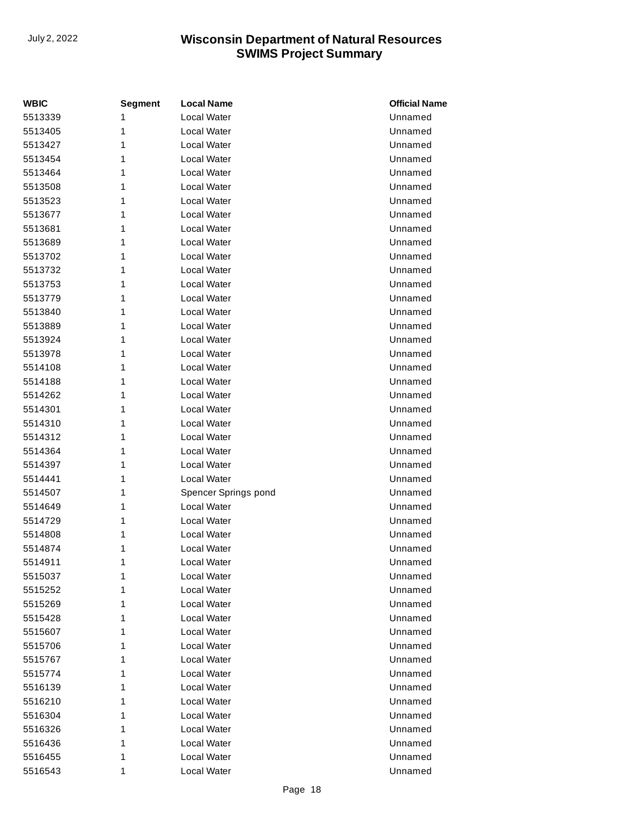| <b>WBIC</b> | <b>Segment</b> | <b>Local Name</b>    | <b>Official Name</b> |
|-------------|----------------|----------------------|----------------------|
| 5513339     | 1              | Local Water          | Unnamed              |
| 5513405     | 1              | Local Water          | Unnamed              |
| 5513427     | 1              | Local Water          | Unnamed              |
| 5513454     | 1              | Local Water          | Unnamed              |
| 5513464     | 1              | Local Water          | Unnamed              |
| 5513508     | 1              | Local Water          | Unnamed              |
| 5513523     | 1              | Local Water          | Unnamed              |
| 5513677     | 1              | Local Water          | Unnamed              |
| 5513681     | 1              | Local Water          | Unnamed              |
| 5513689     | 1              | Local Water          | Unnamed              |
| 5513702     | 1              | Local Water          | Unnamed              |
| 5513732     | 1              | Local Water          | Unnamed              |
| 5513753     | 1              | Local Water          | Unnamed              |
| 5513779     | 1              | Local Water          | Unnamed              |
| 5513840     | 1              | Local Water          | Unnamed              |
| 5513889     | 1              | Local Water          | Unnamed              |
| 5513924     | 1              | Local Water          | Unnamed              |
| 5513978     | 1              | Local Water          | Unnamed              |
| 5514108     | 1              | Local Water          | Unnamed              |
| 5514188     | 1              | Local Water          | Unnamed              |
| 5514262     | 1              | Local Water          | Unnamed              |
| 5514301     | 1              | Local Water          | Unnamed              |
| 5514310     | 1              | Local Water          | Unnamed              |
| 5514312     | 1              | Local Water          | Unnamed              |
| 5514364     | 1              | Local Water          | Unnamed              |
| 5514397     | 1              | Local Water          | Unnamed              |
| 5514441     | 1              | Local Water          | Unnamed              |
| 5514507     | 1              | Spencer Springs pond | Unnamed              |
| 5514649     | 1              | Local Water          | Unnamed              |
| 5514729     | 1              | Local Water          | Unnamed              |
| 5514808     | 1              | Local Water          | Unnamed              |
| 5514874     | 1              | Local Water          | Unnamed              |
| 5514911     | 1              | Local Water          | Unnamed              |
| 5515037     | 1              | Local Water          | Unnamed              |
| 5515252     | 1              | Local Water          | Unnamed              |
| 5515269     | 1              | Local Water          | Unnamed              |
| 5515428     | 1              | Local Water          | Unnamed              |
| 5515607     | 1              | Local Water          | Unnamed              |
| 5515706     | 1              | Local Water          | Unnamed              |
| 5515767     | 1              | Local Water          | Unnamed              |
| 5515774     | 1              | Local Water          | Unnamed              |
| 5516139     | 1              | Local Water          | Unnamed              |
| 5516210     | 1              | Local Water          | Unnamed              |
| 5516304     | 1              | Local Water          | Unnamed              |
| 5516326     | 1              | Local Water          | Unnamed              |
| 5516436     | 1              | Local Water          | Unnamed              |
| 5516455     | 1              | Local Water          | Unnamed              |
| 5516543     | 1              | Local Water          | Unnamed              |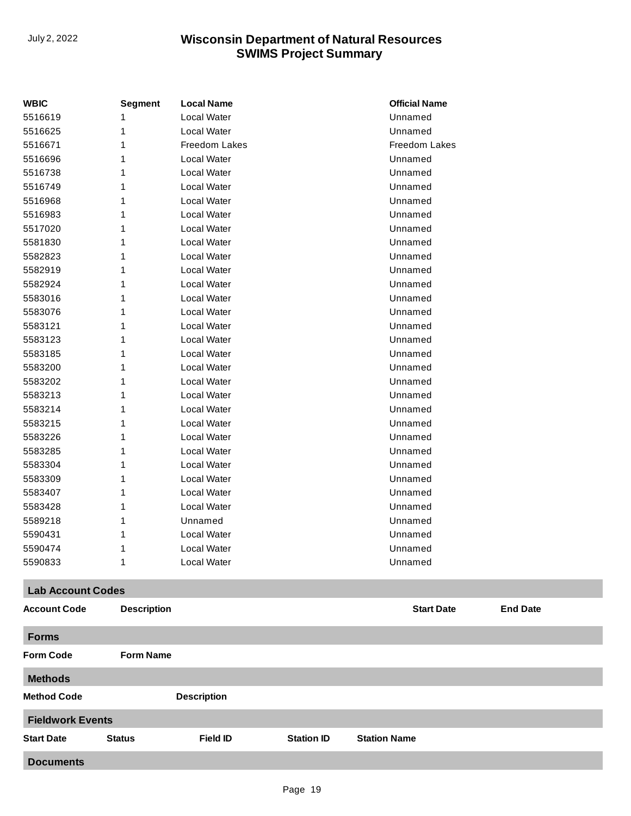| <b>WBIC</b>              | <b>Segment</b>     | <b>Local Name</b>  | <b>Official Name</b> |                 |
|--------------------------|--------------------|--------------------|----------------------|-----------------|
| 5516619                  | 1                  | Local Water        | Unnamed              |                 |
| 5516625                  | 1                  | Local Water        | Unnamed              |                 |
| 5516671                  | 1                  | Freedom Lakes      | <b>Freedom Lakes</b> |                 |
| 5516696                  | 1                  | Local Water        | Unnamed              |                 |
| 5516738                  | 1                  | Local Water        | Unnamed              |                 |
| 5516749                  | 1                  | Local Water        | Unnamed              |                 |
| 5516968                  | 1                  | Local Water        | Unnamed              |                 |
| 5516983                  | 1                  | <b>Local Water</b> | Unnamed              |                 |
| 5517020                  | 1                  | Local Water        | Unnamed              |                 |
| 5581830                  | 1                  | Local Water        | Unnamed              |                 |
| 5582823                  | 1                  | Local Water        | Unnamed              |                 |
| 5582919                  | 1                  | <b>Local Water</b> | Unnamed              |                 |
| 5582924                  | 1                  | Local Water        | Unnamed              |                 |
| 5583016                  | 1                  | Local Water        | Unnamed              |                 |
| 5583076                  | 1                  | Local Water        | Unnamed              |                 |
| 5583121                  | 1                  | <b>Local Water</b> | Unnamed              |                 |
| 5583123                  | 1                  | Local Water        | Unnamed              |                 |
| 5583185                  | 1                  | Local Water        | Unnamed              |                 |
| 5583200                  | 1                  | Local Water        | Unnamed              |                 |
| 5583202                  | 1                  | Local Water        | Unnamed              |                 |
| 5583213                  | 1                  | Local Water        | Unnamed              |                 |
| 5583214                  | 1                  | Local Water        | Unnamed              |                 |
| 5583215                  | 1                  | Local Water        | Unnamed              |                 |
| 5583226                  | 1                  | <b>Local Water</b> | Unnamed              |                 |
| 5583285                  | 1                  | Local Water        | Unnamed              |                 |
| 5583304                  | 1                  | Local Water        | Unnamed              |                 |
| 5583309                  | 1                  | <b>Local Water</b> | Unnamed              |                 |
| 5583407                  | 1                  | <b>Local Water</b> | Unnamed              |                 |
| 5583428                  | 1                  | Local Water        | Unnamed              |                 |
| 5589218                  | 1                  | Unnamed            | Unnamed              |                 |
| 5590431                  | 1                  | Local Water        | Unnamed              |                 |
| 5590474                  | 1                  | <b>Local Water</b> | Unnamed              |                 |
| 5590833                  | 1                  | Local Water        | Unnamed              |                 |
| <b>Lab Account Codes</b> |                    |                    |                      |                 |
| <b>Account Code</b>      | <b>Description</b> |                    | <b>Start Date</b>    | <b>End Date</b> |
| <b>Forms</b>             |                    |                    |                      |                 |
| <b>Form Code</b>         | <b>Form Name</b>   |                    |                      |                 |
| <b>Methods</b>           |                    |                    |                      |                 |
| <b>Method Code</b>       |                    | <b>Description</b> |                      |                 |
| <b>Fieldwork Events</b>  |                    |                    |                      |                 |

**Documents**

**Start Date Status Field ID Station ID Station Name**